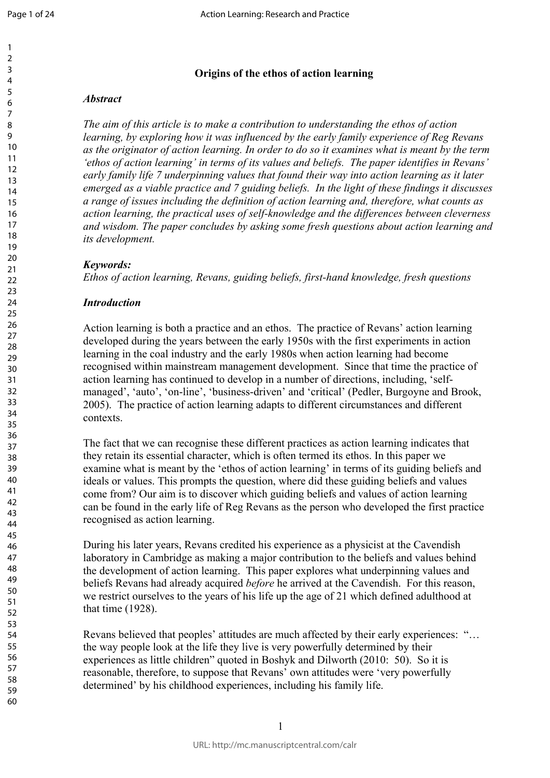$\mathbf{1}$ 

#### 123456789  $\overline{2}$  $\overline{3}$  $\overline{4}$ 5 6  $\overline{7}$ 8 9 10 11 12 13 14 15 16 17 18 19 20 21  $22$  $23$ 24 25 26 27 28 29 30 31 32 33 34 35 36 37 38 39 40 41 42 43 44 45 46 47 48 49 50 51 52 53 54 55 56 57 58 59

60

# **Origins of the ethos of action learning**

### *Abstract*

*The aim of this article is to make a contribution to understanding the ethos of action learning, by exploring how it was influenced by the early family experience of Reg Revans as the originator of action learning. In order to do so it examines what is meant by the term 'ethos of action learning' in terms of its values and beliefs. The paper identifies in Revans' early family life 7 underpinning values that found their way into action learning as it later emerged as a viable practice and 7 guiding beliefs. In the light of these findings it discusses a range of issues including the definition of action learning and, therefore, what counts as action learning, the practical uses of self-knowledge and the differences between cleverness and wisdom. The paper concludes by asking some fresh questions about action learning and its development.*

## *Keywords:*

*Ethos of action learning, Revans, guiding beliefs, first-hand knowledge, fresh questions*

## *Introduction*

*For the paparcal alses by sey mornings and the digot-networks by asking some fresh questions abo*<br>*Learning, Revans, guiding beliefs, first-hand knowledg*<br>*Learning, Revans, guiding beliefs, first-hand knowledg*<br>*g* is bo Action learning is both a practice and an ethos. The practice of Revans' action learning developed during the years between the early 1950s with the first experiments in action learning in the coal industry and the early 1980s when action learning had become recognised within mainstream management development. Since that time the practice of action learning has continued to develop in a number of directions, including, 'selfmanaged', 'auto', 'on-line', 'business-driven' and 'critical' (Pedler, Burgoyne and Brook, 2005). The practice of action learning adapts to different circumstances and different contexts.

The fact that we can recognise these different practices as action learning indicates that they retain its essential character, which is often termed its ethos. In this paper we examine what is meant by the 'ethos of action learning' in terms of its guiding beliefs and ideals or values. This prompts the question, where did these guiding beliefs and values come from? Our aim is to discover which guiding beliefs and values of action learning can be found in the early life of Reg Revans as the person who developed the first practice recognised as action learning.

During his later years, Revans credited his experience as a physicist at the Cavendish laboratory in Cambridge as making a major contribution to the beliefs and values behind the development of action learning. This paper explores what underpinning values and beliefs Revans had already acquired *before* he arrived at the Cavendish. For this reason, we restrict ourselves to the years of his life up the age of 21 which defined adulthood at that time (1928).

Revans believed that peoples' attitudes are much affected by their early experiences: "… the way people look at the life they live is very powerfully determined by their experiences as little children" quoted in Boshyk and Dilworth (2010: 50). So it is reasonable, therefore, to suppose that Revans' own attitudes were 'very powerfully determined' by his childhood experiences, including his family life.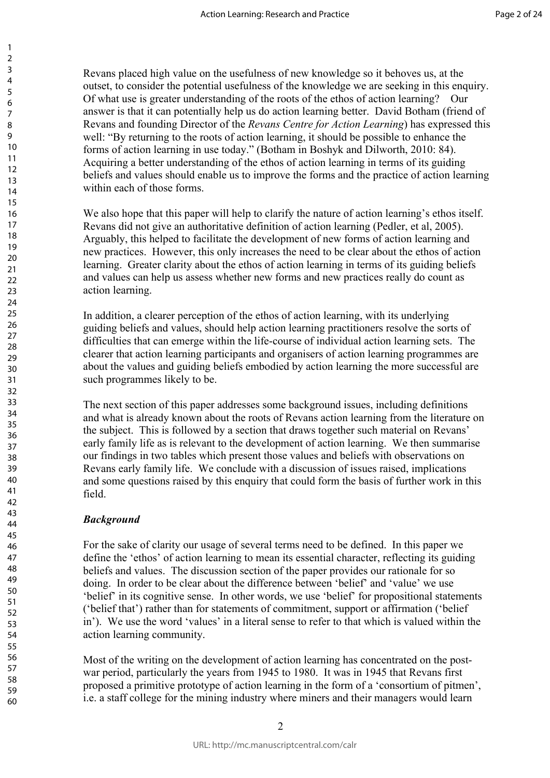Revans placed high value on the usefulness of new knowledge so it behoves us, at the outset, to consider the potential usefulness of the knowledge we are seeking in this enquiry. Of what use is greater understanding of the roots of the ethos of action learning? Our answer is that it can potentially help us do action learning better. David Botham (friend of Revans and founding Director of the *Revans Centre for Action Learning*) has expressed this well: "By returning to the roots of action learning, it should be possible to enhance the forms of action learning in use today." (Botham in Boshyk and Dilworth, 2010: 84). Acquiring a better understanding of the ethos of action learning in terms of its guiding beliefs and values should enable us to improve the forms and the practice of action learning within each of those forms.

We also hope that this paper will help to clarify the nature of action learning's ethos itself. Revans did not give an authoritative definition of action learning (Pedler, et al, 2005). Arguably, this helped to facilitate the development of new forms of action learning and new practices. However, this only increases the need to be clear about the ethos of action learning. Greater clarity about the ethos of action learning in terms of its guiding beliefs and values can help us assess whether new forms and new practices really do count as action learning.

In addition, a clearer perception of the ethos of action learning, with its underlying guiding beliefs and values, should help action learning practitioners resolve the sorts of difficulties that can emerge within the life-course of individual action learning sets. The clearer that action learning participants and organisers of action learning programmes are about the values and guiding beliefs embodied by action learning the more successful are such programmes likely to be.

man employer win neep to enamy are matter or action learning (Ped<br>give an authoritative definition of action learning (Ped<br>helped to facilitate the development of new forms of ac<br>However, this only increases the need to be The next section of this paper addresses some background issues, including definitions and what is already known about the roots of Revans action learning from the literature on the subject. This is followed by a section that draws together such material on Revans' early family life as is relevant to the development of action learning. We then summarise our findings in two tables which present those values and beliefs with observations on Revans early family life. We conclude with a discussion of issues raised, implications and some questions raised by this enquiry that could form the basis of further work in this field.

## *Background*

For the sake of clarity our usage of several terms need to be defined. In this paper we define the 'ethos' of action learning to mean its essential character, reflecting its guiding beliefs and values. The discussion section of the paper provides our rationale for so doing. In order to be clear about the difference between 'belief' and 'value' we use 'belief' in its cognitive sense. In other words, we use 'belief' for propositional statements ('belief that') rather than for statements of commitment, support or affirmation ('belief in'). We use the word 'values' in a literal sense to refer to that which is valued within the action learning community.

Most of the writing on the development of action learning has concentrated on the postwar period, particularly the years from 1945 to 1980. It was in 1945 that Revans first proposed a primitive prototype of action learning in the form of a 'consortium of pitmen', i.e. a staff college for the mining industry where miners and their managers would learn

 $\mathfrak{D}$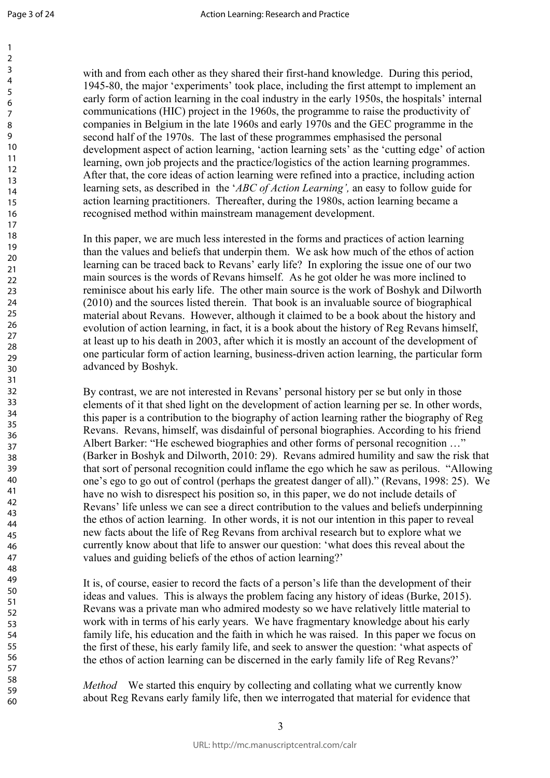60

with and from each other as they shared their first-hand knowledge. During this period, 1945-80, the major 'experiments' took place, including the first attempt to implement an early form of action learning in the coal industry in the early 1950s, the hospitals' internal communications (HIC) project in the 1960s, the programme to raise the productivity of companies in Belgium in the late 1960s and early 1970s and the GEC programme in the second half of the 1970s. The last of these programmes emphasised the personal development aspect of action learning, 'action learning sets' as the 'cutting edge' of action learning, own job projects and the practice/logistics of the action learning programmes. After that, the core ideas of action learning were refined into a practice, including action learning sets, as described in the '*ABC of Action Learning',* an easy to follow guide for action learning practitioners. Thereafter, during the 1980s, action learning became a recognised method within mainstream management development.

In this paper, we are much less interested in the forms and practices of action learning than the values and beliefs that underpin them. We ask how much of the ethos of action learning can be traced back to Revans' early life? In exploring the issue one of our two main sources is the words of Revans himself. As he got older he was more inclined to reminisce about his early life. The other main source is the work of Boshyk and Dilworth (2010) and the sources listed therein. That book is an invaluable source of biographical material about Revans. However, although it claimed to be a book about the history and evolution of action learning, in fact, it is a book about the history of Reg Revans himself, at least up to his death in 2003, after which it is mostly an account of the development of one particular form of action learning, business-driven action learning, the particular form advanced by Boshyk.

For a mean the sistence of the form in the sistence of and beliefs that underpin them. We ask how much of t traced back to Revans' early life? In exploring the isset the words of Revans himself. As he got older he was show By contrast, we are not interested in Revans' personal history per se but only in those elements of it that shed light on the development of action learning per se. In other words, this paper is a contribution to the biography of action learning rather the biography of Reg Revans. Revans, himself, was disdainful of personal biographies. According to his friend Albert Barker: "He eschewed biographies and other forms of personal recognition …" (Barker in Boshyk and Dilworth, 2010: 29). Revans admired humility and saw the risk that that sort of personal recognition could inflame the ego which he saw as perilous. "Allowing one's ego to go out of control (perhaps the greatest danger of all)." (Revans, 1998: 25). We have no wish to disrespect his position so, in this paper, we do not include details of Revans' life unless we can see a direct contribution to the values and beliefs underpinning the ethos of action learning. In other words, it is not our intention in this paper to reveal new facts about the life of Reg Revans from archival research but to explore what we currently know about that life to answer our question: 'what does this reveal about the values and guiding beliefs of the ethos of action learning?'

It is, of course, easier to record the facts of a person's life than the development of their ideas and values. This is always the problem facing any history of ideas (Burke, 2015). Revans was a private man who admired modesty so we have relatively little material to work with in terms of his early years. We have fragmentary knowledge about his early family life, his education and the faith in which he was raised. In this paper we focus on the first of these, his early family life, and seek to answer the question: 'what aspects of the ethos of action learning can be discerned in the early family life of Reg Revans?'

*Method* We started this enquiry by collecting and collating what we currently know about Reg Revans early family life, then we interrogated that material for evidence that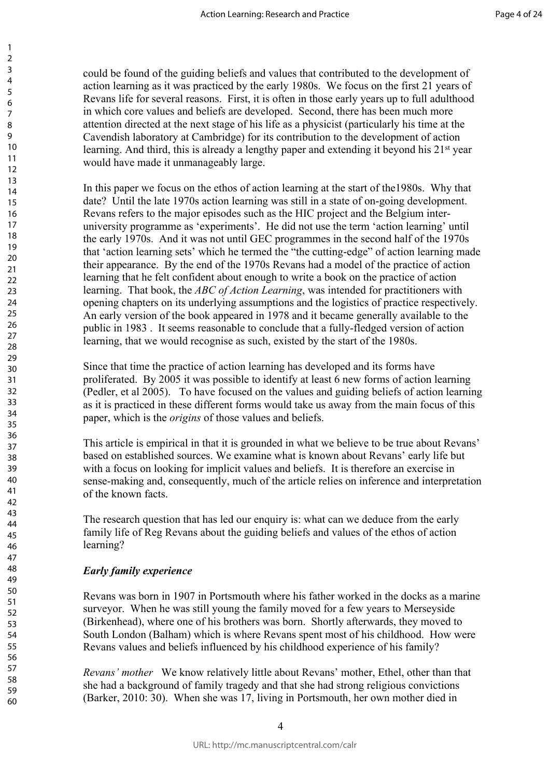could be found of the guiding beliefs and values that contributed to the development of action learning as it was practiced by the early 1980s. We focus on the first 21 years of Revans life for several reasons. First, it is often in those early years up to full adulthood in which core values and beliefs are developed. Second, there has been much more attention directed at the next stage of his life as a physicist (particularly his time at the Cavendish laboratory at Cambridge) for its contribution to the development of action learning. And third, this is already a lengthy paper and extending it beyond his 21<sup>st</sup> year would have made it unmanageably large.

of the may expect solar and the trie project and the samme as 'experiments'. He did not use the term 'action and the second ming sets' which he termed the "the cutting-edge" of a ce. By the end of the 1970s Revans had a mo In this paper we focus on the ethos of action learning at the start of the1980s. Why that date? Until the late 1970s action learning was still in a state of on-going development. Revans refers to the major episodes such as the HIC project and the Belgium interuniversity programme as 'experiments'. He did not use the term 'action learning' until the early 1970s. And it was not until GEC programmes in the second half of the 1970s that 'action learning sets' which he termed the "the cutting-edge" of action learning made their appearance. By the end of the 1970s Revans had a model of the practice of action learning that he felt confident about enough to write a book on the practice of action learning. That book, the *ABC of Action Learning*, was intended for practitioners with opening chapters on its underlying assumptions and the logistics of practice respectively. An early version of the book appeared in 1978 and it became generally available to the public in 1983 . It seems reasonable to conclude that a fully-fledged version of action learning, that we would recognise as such, existed by the start of the 1980s.

Since that time the practice of action learning has developed and its forms have proliferated. By 2005 it was possible to identify at least 6 new forms of action learning (Pedler, et al 2005). To have focused on the values and guiding beliefs of action learning as it is practiced in these different forms would take us away from the main focus of this paper, which is the *origins* of those values and beliefs.

This article is empirical in that it is grounded in what we believe to be true about Revans' based on established sources. We examine what is known about Revans' early life but with a focus on looking for implicit values and beliefs. It is therefore an exercise in sense-making and, consequently, much of the article relies on inference and interpretation of the known facts.

The research question that has led our enquiry is: what can we deduce from the early family life of Reg Revans about the guiding beliefs and values of the ethos of action learning?

## *Early family experience*

Revans was born in 1907 in Portsmouth where his father worked in the docks as a marine surveyor. When he was still young the family moved for a few years to Merseyside (Birkenhead), where one of his brothers was born. Shortly afterwards, they moved to South London (Balham) which is where Revans spent most of his childhood. How were Revans values and beliefs influenced by his childhood experience of his family?

*Revans' mother* We know relatively little about Revans' mother, Ethel, other than that she had a background of family tragedy and that she had strong religious convictions (Barker, 2010: 30). When she was 17, living in Portsmouth, her own mother died in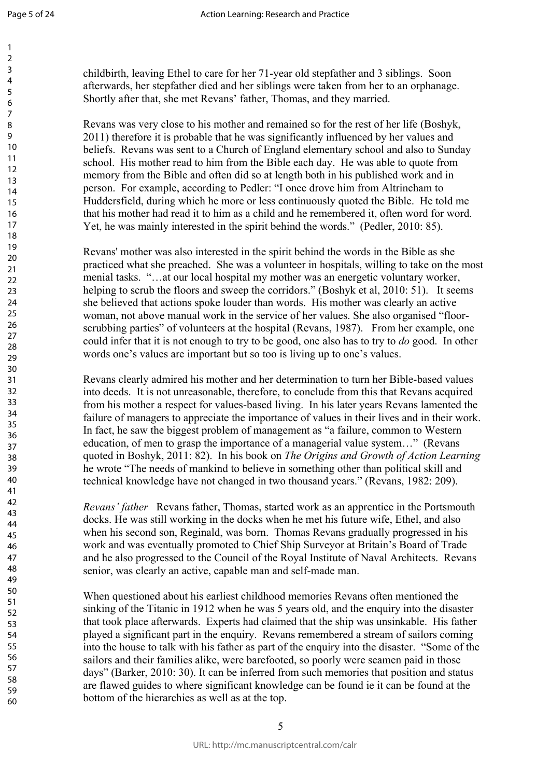$\mathbf{1}$  $\overline{2}$  $\overline{3}$  $\overline{4}$ 5 6  $\overline{7}$ 8 9

childbirth, leaving Ethel to care for her 71-year old stepfather and 3 siblings. Soon afterwards, her stepfather died and her siblings were taken from her to an orphanage. Shortly after that, she met Revans' father, Thomas, and they married.

Revans was very close to his mother and remained so for the rest of her life (Boshyk, 2011) therefore it is probable that he was significantly influenced by her values and beliefs. Revans was sent to a Church of England elementary school and also to Sunday school. His mother read to him from the Bible each day. He was able to quote from memory from the Bible and often did so at length both in his published work and in person. For example, according to Pedler: "I once drove him from Altrincham to Huddersfield, during which he more or less continuously quoted the Bible. He told me that his mother had read it to him as a child and he remembered it, often word for word. Yet, he was mainly interested in the spirit behind the words." (Pedler, 2010: 85).

man center to finith as a time wind interested in the spirit behind the words." (Pedler, was also interested in the spirit behind the words in the preached. She was a volunteer in hospitals, willing ... at our local hospi Revans' mother was also interested in the spirit behind the words in the Bible as she practiced what she preached. She was a volunteer in hospitals, willing to take on the most menial tasks. "…at our local hospital my mother was an energetic voluntary worker, helping to scrub the floors and sweep the corridors." (Boshyk et al, 2010: 51). It seems she believed that actions spoke louder than words. His mother was clearly an active woman, not above manual work in the service of her values. She also organised "floorscrubbing parties" of volunteers at the hospital (Revans, 1987). From her example, one could infer that it is not enough to try to be good, one also has to try to *do* good. In other words one's values are important but so too is living up to one's values.

Revans clearly admired his mother and her determination to turn her Bible-based values into deeds. It is not unreasonable, therefore, to conclude from this that Revans acquired from his mother a respect for values-based living. In his later years Revans lamented the failure of managers to appreciate the importance of values in their lives and in their work. In fact, he saw the biggest problem of management as "a failure, common to Western education, of men to grasp the importance of a managerial value system…" (Revans quoted in Boshyk, 2011: 82). In his book on *The Origins and Growth of Action Learning* he wrote "The needs of mankind to believe in something other than political skill and technical knowledge have not changed in two thousand years." (Revans, 1982: 209).

*Revans' father* Revans father, Thomas, started work as an apprentice in the Portsmouth docks. He was still working in the docks when he met his future wife, Ethel, and also when his second son, Reginald, was born. Thomas Revans gradually progressed in his work and was eventually promoted to Chief Ship Surveyor at Britain's Board of Trade and he also progressed to the Council of the Royal Institute of Naval Architects. Revans senior, was clearly an active, capable man and self-made man.

When questioned about his earliest childhood memories Revans often mentioned the sinking of the Titanic in 1912 when he was 5 years old, and the enquiry into the disaster that took place afterwards. Experts had claimed that the ship was unsinkable. His father played a significant part in the enquiry. Revans remembered a stream of sailors coming into the house to talk with his father as part of the enquiry into the disaster. "Some of the sailors and their families alike, were barefooted, so poorly were seamen paid in those days" (Barker, 2010: 30). It can be inferred from such memories that position and status are flawed guides to where significant knowledge can be found ie it can be found at the bottom of the hierarchies as well as at the top.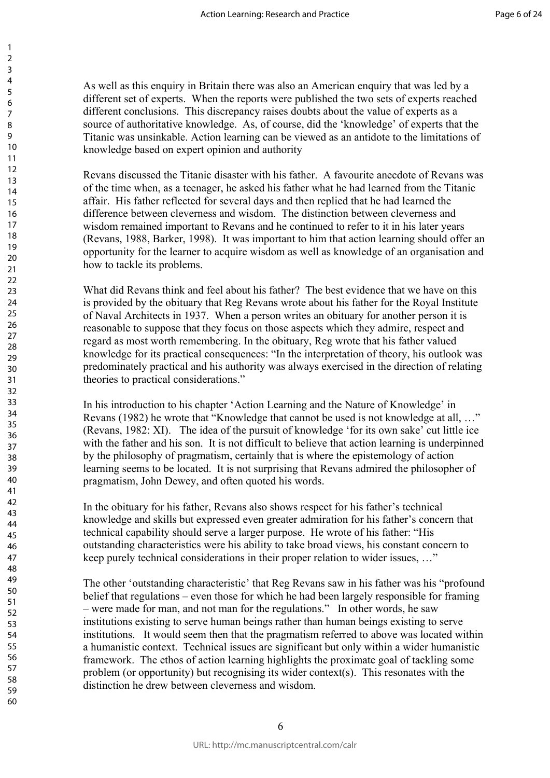As well as this enquiry in Britain there was also an American enquiry that was led by a different set of experts. When the reports were published the two sets of experts reached different conclusions. This discrepancy raises doubts about the value of experts as a source of authoritative knowledge. As, of course, did the 'knowledge' of experts that the Titanic was unsinkable. Action learning can be viewed as an antidote to the limitations of knowledge based on expert opinion and authority

Revans discussed the Titanic disaster with his father. A favourite anecdote of Revans was of the time when, as a teenager, he asked his father what he had learned from the Titanic affair. His father reflected for several days and then replied that he had learned the difference between cleverness and wisdom. The distinction between cleverness and wisdom remained important to Revans and he continued to refer to it in his later years (Revans, 1988, Barker, 1998). It was important to him that action learning should offer an opportunity for the learner to acquire wisdom as well as knowledge of an organisation and how to tackle its problems.

For vectness and *machini*. The unitation forevect the continued important to Revans and he continued to refer to it if Barker, 1998). It was important to him that action lear the learner to acquire wisdom as well as knowl What did Revans think and feel about his father? The best evidence that we have on this is provided by the obituary that Reg Revans wrote about his father for the Royal Institute of Naval Architects in 1937. When a person writes an obituary for another person it is reasonable to suppose that they focus on those aspects which they admire, respect and regard as most worth remembering. In the obituary, Reg wrote that his father valued knowledge for its practical consequences: "In the interpretation of theory, his outlook was predominately practical and his authority was always exercised in the direction of relating theories to practical considerations."

In his introduction to his chapter 'Action Learning and the Nature of Knowledge' in Revans (1982) he wrote that "Knowledge that cannot be used is not knowledge at all, …" (Revans, 1982: XI). The idea of the pursuit of knowledge 'for its own sake' cut little ice with the father and his son. It is not difficult to believe that action learning is underpinned by the philosophy of pragmatism, certainly that is where the epistemology of action learning seems to be located. It is not surprising that Revans admired the philosopher of pragmatism, John Dewey, and often quoted his words.

In the obituary for his father, Revans also shows respect for his father's technical knowledge and skills but expressed even greater admiration for his father's concern that technical capability should serve a larger purpose. He wrote of his father: "His outstanding characteristics were his ability to take broad views, his constant concern to keep purely technical considerations in their proper relation to wider issues, …"

The other 'outstanding characteristic' that Reg Revans saw in his father was his "profound belief that regulations – even those for which he had been largely responsible for framing – were made for man, and not man for the regulations." In other words, he saw institutions existing to serve human beings rather than human beings existing to serve institutions. It would seem then that the pragmatism referred to above was located within a humanistic context. Technical issues are significant but only within a wider humanistic framework. The ethos of action learning highlights the proximate goal of tackling some problem (or opportunity) but recognising its wider context(s). This resonates with the distinction he drew between cleverness and wisdom.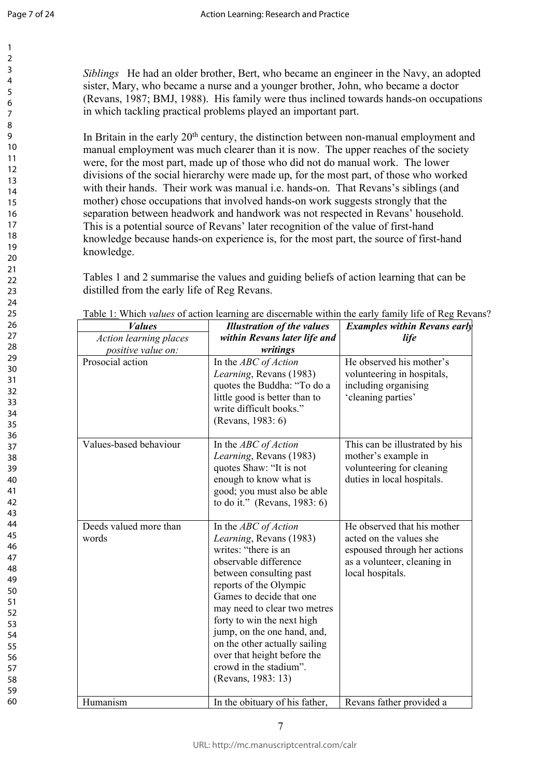$\mathbf{1}$  $\overline{2}$  $\overline{3}$  $\overline{4}$ 5 6  $\overline{7}$ 8 9

*Siblings* He had an older brother, Bert, who became an engineer in the Navy, an adopted sister, Mary, who became a nurse and a younger brother, John, who became a doctor (Revans, 1987; BMJ, 1988). His family were thus inclined towards hands-on occupations in which tackling practical problems played an important part.

In Britain in the early 20<sup>th</sup> century, the distinction between non-manual employment and manual employment was much clearer than it is now. The upper reaches of the society were, for the most part, made up of those who did not do manual work. The lower divisions of the social hierarchy were made up, for the most part, of those who worked with their hands. Their work was manual i.e. hands-on. That Revans's siblings (and mother) chose occupations that involved hands-on work suggests strongly that the separation between headwork and handwork was not respected in Revans' household. This is a potential source of Revans' later recognition of the value of first-hand knowledge because hands-on experience is, for the most part, the source of first-hand knowledge.

| knowledge.                                                                                     | This is a potential source of Revans' later recognition of the value of first-hand<br>knowledge because hands-on experience is, for the most part, the source of first-hand<br>Tables 1 and 2 summarise the values and guiding beliefs of action learning that can be                                                                                                                          |                                                                                                                                           |
|------------------------------------------------------------------------------------------------|------------------------------------------------------------------------------------------------------------------------------------------------------------------------------------------------------------------------------------------------------------------------------------------------------------------------------------------------------------------------------------------------|-------------------------------------------------------------------------------------------------------------------------------------------|
| distilled from the early life of Reg Revans.<br><i>Values</i><br><b>Action learning places</b> | Table 1: Which values of action learning are discernable within the early family life of Reg Reva<br><b>Illustration of the values</b><br>within Revans later life and                                                                                                                                                                                                                         | <b>Examples within Revans early</b><br><i>life</i>                                                                                        |
| positive value on:                                                                             | writings                                                                                                                                                                                                                                                                                                                                                                                       |                                                                                                                                           |
| Prosocial action                                                                               | In the ABC of Action<br>Learning, Revans (1983)<br>quotes the Buddha: "To do a<br>little good is better than to<br>write difficult books."<br>(Revans, 1983: 6)                                                                                                                                                                                                                                | He observed his mother's<br>volunteering in hospitals,<br>including organising<br>'cleaning parties'                                      |
| Values-based behaviour                                                                         | In the <i>ABC</i> of <i>Action</i><br>Learning, Revans (1983)<br>quotes Shaw: "It is not<br>enough to know what is<br>good; you must also be able<br>to do it." (Revans, 1983: 6)                                                                                                                                                                                                              | This can be illustrated by his<br>mother's example in<br>volunteering for cleaning<br>duties in local hospitals.                          |
| Deeds valued more than<br>words                                                                | In the ABC of Action<br>Learning, Revans (1983)<br>writes: "there is an<br>observable difference<br>between consulting past<br>reports of the Olympic<br>Games to decide that one<br>may need to clear two metres<br>forty to win the next high<br>jump, on the one hand, and,<br>on the other actually sailing<br>over that height before the<br>crowd in the stadium".<br>(Revans, 1983: 13) | He observed that his mother<br>acted on the values she<br>espoused through her actions<br>as a volunteer, cleaning in<br>local hospitals. |
| Humanism                                                                                       | In the obituary of his father,                                                                                                                                                                                                                                                                                                                                                                 | Revans father provided a                                                                                                                  |

Table 1: Which *values* of action learning are discernable within the early family life of Reg Revans?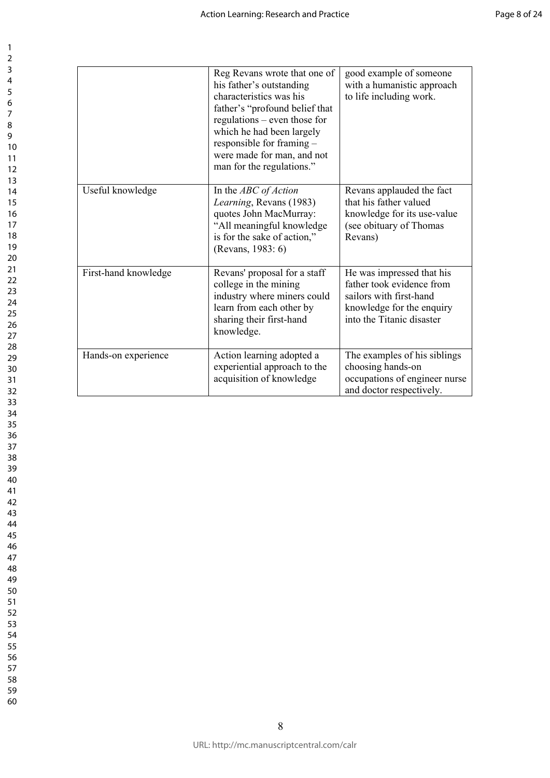|                      | Reg Revans wrote that one of<br>his father's outstanding<br>characteristics was his<br>father's "profound belief that<br>regulations – even those for<br>which he had been largely<br>responsible for framing -<br>were made for man, and not<br>man for the regulations." | good example of someone<br>with a humanistic approach<br>to life including work.                                                            |
|----------------------|----------------------------------------------------------------------------------------------------------------------------------------------------------------------------------------------------------------------------------------------------------------------------|---------------------------------------------------------------------------------------------------------------------------------------------|
| Useful knowledge     | In the ABC of Action<br>Learning, Revans (1983)<br>quotes John MacMurray:<br>"All meaningful knowledge<br>is for the sake of action,"<br>(Revans, 1983: 6)                                                                                                                 | Revans applauded the fact<br>that his father valued<br>knowledge for its use-value<br>(see obituary of Thomas<br>Revans)                    |
| First-hand knowledge | Revans' proposal for a staff<br>college in the mining<br>industry where miners could<br>learn from each other by<br>sharing their first-hand<br>knowledge.                                                                                                                 | He was impressed that his<br>father took evidence from<br>sailors with first-hand<br>knowledge for the enquiry<br>into the Titanic disaster |
| Hands-on experience  | Action learning adopted a<br>experiential approach to the<br>acquisition of knowledge                                                                                                                                                                                      | The examples of his siblings<br>choosing hands-on<br>occupations of engineer nurse<br>and doctor respectively.                              |
|                      |                                                                                                                                                                                                                                                                            |                                                                                                                                             |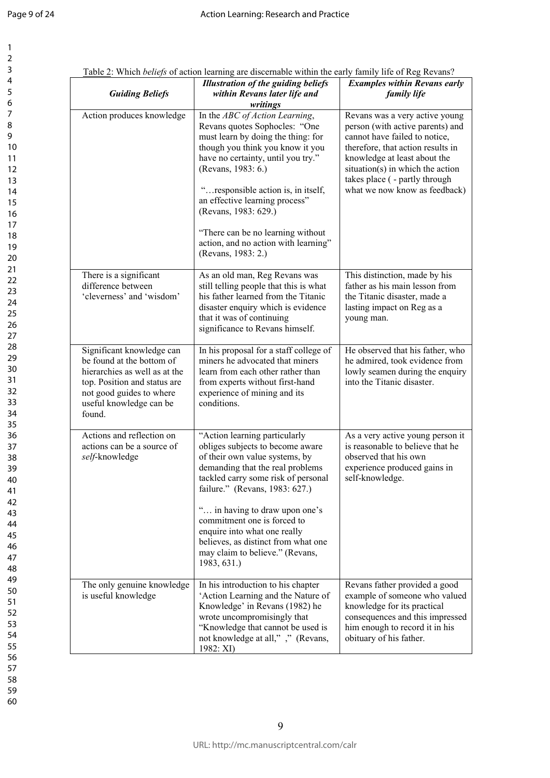$\mathbf{1}$ 

| 1                                         |  |
|-------------------------------------------|--|
| $\overline{\mathbf{c}}$                   |  |
| 3                                         |  |
| 4                                         |  |
| 5                                         |  |
| 6                                         |  |
|                                           |  |
| 8                                         |  |
| 9                                         |  |
| 10                                        |  |
|                                           |  |
| 11                                        |  |
| 1<br>$\overline{2}$                       |  |
| $\overline{13}$                           |  |
| $\overline{14}$                           |  |
| 15                                        |  |
| 16                                        |  |
| 17                                        |  |
| 18                                        |  |
| 19                                        |  |
| 20                                        |  |
| $\overline{21}$                           |  |
| Ź.<br>$\overline{2}$                      |  |
| $^{23}$                                   |  |
| $\frac{24}{5}$                            |  |
| 25                                        |  |
| 26                                        |  |
|                                           |  |
| 27                                        |  |
| 28                                        |  |
| 29                                        |  |
| 30                                        |  |
| $\overline{31}$                           |  |
| $\overline{\mathbf{3}}$<br>$\overline{2}$ |  |
| 33                                        |  |
| 34                                        |  |
| 35                                        |  |
| 36                                        |  |
| 37                                        |  |
| 88                                        |  |
| 39                                        |  |
| 40                                        |  |
| 41                                        |  |
|                                           |  |
| 4.<br>,                                   |  |
| $\overline{4}$<br>ξ                       |  |
| 44                                        |  |
| 45                                        |  |
| 46                                        |  |
| 47                                        |  |
| 48                                        |  |
| 49                                        |  |
| 50                                        |  |
| 51                                        |  |
| 5.<br>$\overline{2}$                      |  |
| 5:<br>ξ                                   |  |
| 54                                        |  |
| 55                                        |  |
| 56                                        |  |
|                                           |  |
| 57                                        |  |
| 58                                        |  |
| 59                                        |  |
| 60                                        |  |

| <b>Guiding Beliefs</b>                                                                                                                                                                   | <b>Illustration of the guiding beliefs</b><br>within Revans later life and<br>writings                                                                                                                                                                                                                                                                                                                     | <b>Examples within Revans early</b><br>family life                                                                                                                                                                                                                              |
|------------------------------------------------------------------------------------------------------------------------------------------------------------------------------------------|------------------------------------------------------------------------------------------------------------------------------------------------------------------------------------------------------------------------------------------------------------------------------------------------------------------------------------------------------------------------------------------------------------|---------------------------------------------------------------------------------------------------------------------------------------------------------------------------------------------------------------------------------------------------------------------------------|
| Action produces knowledge                                                                                                                                                                | In the ABC of Action Learning,<br>Revans quotes Sophocles: "One<br>must learn by doing the thing: for<br>though you think you know it you<br>have no certainty, until you try."<br>(Revans, 1983: 6.)<br>" responsible action is, in itself,<br>an effective learning process"<br>(Revans, 1983: 629.)<br>"There can be no learning without"<br>action, and no action with learning"<br>(Revans, 1983: 2.) | Revans was a very active young<br>person (with active parents) and<br>cannot have failed to notice,<br>therefore, that action results in<br>knowledge at least about the<br>situation(s) in which the action<br>takes place ( - partly through<br>what we now know as feedback) |
| There is a significant<br>difference between<br>'cleverness' and 'wisdom'                                                                                                                | As an old man, Reg Revans was<br>still telling people that this is what<br>his father learned from the Titanic<br>disaster enquiry which is evidence<br>that it was of continuing<br>significance to Revans himself.                                                                                                                                                                                       | This distinction, made by his<br>father as his main lesson from<br>the Titanic disaster, made a<br>lasting impact on Reg as a<br>young man.                                                                                                                                     |
| Significant knowledge can<br>be found at the bottom of<br>hierarchies as well as at the<br>top. Position and status are<br>not good guides to where<br>useful knowledge can be<br>found. | In his proposal for a staff college of<br>miners he advocated that miners<br>learn from each other rather than<br>from experts without first-hand<br>experience of mining and its<br>conditions.                                                                                                                                                                                                           | He observed that his father, who<br>he admired, took evidence from<br>lowly seamen during the enquiry<br>into the Titanic disaster.                                                                                                                                             |
| Actions and reflection on<br>actions can be a source of<br>self-knowledge                                                                                                                | "Action learning particularly<br>obliges subjects to become aware<br>of their own value systems, by<br>demanding that the real problems<br>tackled carry some risk of personal<br>failure." (Revans, 1983: 627.)<br>" in having to draw upon one's<br>commitment one is forced to<br>enquire into what one really<br>believes, as distinct from what one<br>may claim to believe." (Revans,<br>1983, 631.) | As a very active young person it<br>is reasonable to believe that he<br>observed that his own<br>experience produced gains in<br>self-knowledge.                                                                                                                                |
| The only genuine knowledge<br>is useful knowledge                                                                                                                                        | In his introduction to his chapter<br>'Action Learning and the Nature of<br>Knowledge' in Revans (1982) he<br>wrote uncompromisingly that<br>"Knowledge that cannot be used is<br>not knowledge at all,"," (Revans,<br>1982: XI)                                                                                                                                                                           | Revans father provided a good<br>example of someone who valued<br>knowledge for its practical<br>consequences and this impressed<br>him enough to record it in his<br>obituary of his father.                                                                                   |

Table 2: Which *beliefs* of action learning are discernable within the early family life of Reg Revans?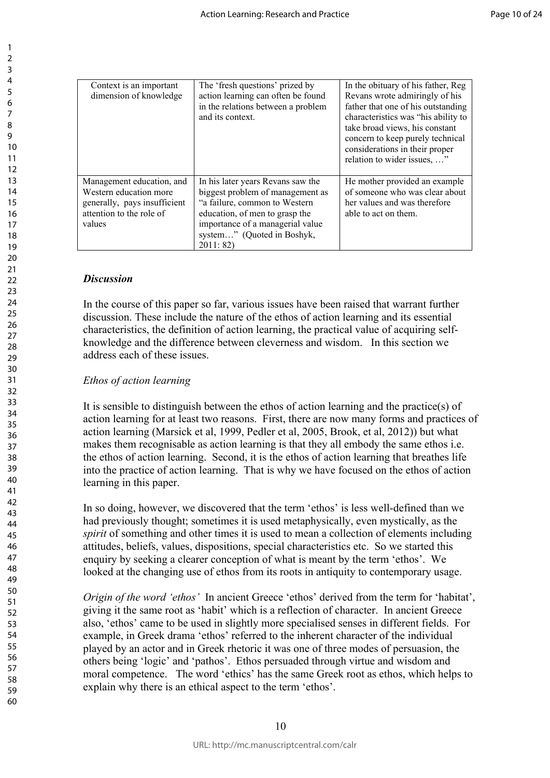| Context is an important<br>dimension of knowledge                                                                         | The 'fresh questions' prized by<br>action learning can often be found<br>in the relations between a problem<br>and its context.                                                                                       | In the obituary of his father, Reg<br>Revans wrote admiringly of his<br>father that one of his outstanding<br>characteristics was "his ability to<br>take broad views, his constant<br>concern to keep purely technical<br>considerations in their proper<br>relation to wider issues, " |
|---------------------------------------------------------------------------------------------------------------------------|-----------------------------------------------------------------------------------------------------------------------------------------------------------------------------------------------------------------------|------------------------------------------------------------------------------------------------------------------------------------------------------------------------------------------------------------------------------------------------------------------------------------------|
| Management education, and<br>Western education more<br>generally, pays insufficient<br>attention to the role of<br>values | In his later years Revans saw the<br>biggest problem of management as<br>"a failure, common to Western<br>education, of men to grasp the<br>importance of a managerial value<br>system" (Quoted in Boshyk,<br>2011:82 | He mother provided an example<br>of someone who was clear about<br>her values and was therefore<br>able to act on them.                                                                                                                                                                  |

#### *Discussion*

In the course of this paper so far, various issues have been raised that warrant further discussion. These include the nature of the ethos of action learning and its essential characteristics, the definition of action learning, the practical value of acquiring selfknowledge and the difference between cleverness and wisdom. In this section we address each of these issues.

### *Ethos of action learning*

For the importance of a managerial value<br>system..." (Quoted in Boshyk,<br>2011: 82)<br>The system of a managerial value<br>of the efficition of action learning, the practical value of<br>the definition of action learning, the practic It is sensible to distinguish between the ethos of action learning and the practice(s) of action learning for at least two reasons. First, there are now many forms and practices of action learning (Marsick et al, 1999, Pedler et al, 2005, Brook, et al, 2012)) but what makes them recognisable as action learning is that they all embody the same ethos i.e. the ethos of action learning. Second, it is the ethos of action learning that breathes life into the practice of action learning. That is why we have focused on the ethos of action learning in this paper.

In so doing, however, we discovered that the term 'ethos' is less well-defined than we had previously thought; sometimes it is used metaphysically, even mystically, as the *spirit* of something and other times it is used to mean a collection of elements including attitudes, beliefs, values, dispositions, special characteristics etc. So we started this enquiry by seeking a clearer conception of what is meant by the term 'ethos'. We looked at the changing use of ethos from its roots in antiquity to contemporary usage.

*Origin of the word 'ethos'* In ancient Greece 'ethos' derived from the term for 'habitat', giving it the same root as 'habit' which is a reflection of character. In ancient Greece also, 'ethos' came to be used in slightly more specialised senses in different fields. For example, in Greek drama 'ethos' referred to the inherent character of the individual played by an actor and in Greek rhetoric it was one of three modes of persuasion, the others being 'logic' and 'pathos'. Ethos persuaded through virtue and wisdom and moral competence. The word 'ethics' has the same Greek root as ethos, which helps to explain why there is an ethical aspect to the term 'ethos'.

 $\mathbf{1}$  $\overline{2}$  $\overline{3}$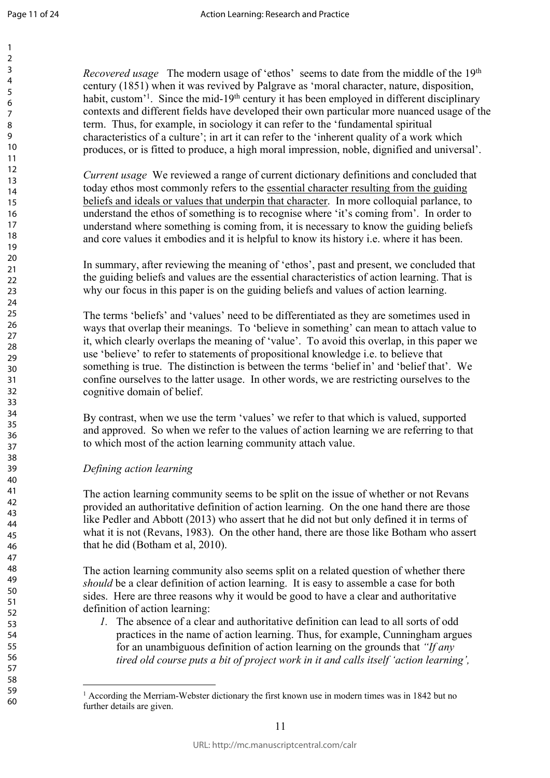*Recovered usage* The modern usage of 'ethos' seems to date from the middle of the 19<sup>th</sup> century (1851) when it was revived by Palgrave as 'moral character, nature, disposition, habit, custom<sup>'1</sup>. Since the mid-19<sup>th</sup> century it has been employed in different disciplinary contexts and different fields have developed their own particular more nuanced usage of the term. Thus, for example, in sociology it can refer to the 'fundamental spiritual characteristics of a culture'; in art it can refer to the 'inherent quality of a work which produces, or is fitted to produce, a high moral impression, noble, dignified and universal'.

*Current usage* We reviewed a range of current dictionary definitions and concluded that today ethos most commonly refers to the essential character resulting from the guiding beliefs and ideals or values that underpin that character. In more colloquial parlance, to understand the ethos of something is to recognise where 'it's coming from'. In order to understand where something is coming from, it is necessary to know the guiding beliefs and core values it embodies and it is helpful to know its history i.e. where it has been.

In summary, after reviewing the meaning of 'ethos', past and present, we concluded that the guiding beliefs and values are the essential characteristics of action learning. That is why our focus in this paper is on the guiding beliefs and values of action learning.

eres or solineling to the selection of the selection of the selection<br>of the semeling is coming from, it is necessary to know the set of the reviewing the meaning of 'ethos', past and present, tiefs and values are the esse The terms 'beliefs' and 'values' need to be differentiated as they are sometimes used in ways that overlap their meanings. To 'believe in something' can mean to attach value to it, which clearly overlaps the meaning of 'value'. To avoid this overlap, in this paper we use 'believe' to refer to statements of propositional knowledge i.e. to believe that something is true. The distinction is between the terms 'belief in' and 'belief that'. We confine ourselves to the latter usage. In other words, we are restricting ourselves to the cognitive domain of belief.

By contrast, when we use the term 'values' we refer to that which is valued, supported and approved. So when we refer to the values of action learning we are referring to that to which most of the action learning community attach value.

### *Defining action learning*

The action learning community seems to be split on the issue of whether or not Revans provided an authoritative definition of action learning. On the one hand there are those like Pedler and Abbott (2013) who assert that he did not but only defined it in terms of what it is not (Revans, 1983). On the other hand, there are those like Botham who assert that he did (Botham et al, 2010).

The action learning community also seems split on a related question of whether there *should* be a clear definition of action learning. It is easy to assemble a case for both sides. Here are three reasons why it would be good to have a clear and authoritative definition of action learning:

*1.* The absence of a clear and authoritative definition can lead to all sorts of odd practices in the name of action learning. Thus, for example, Cunningham argues for an unambiguous definition of action learning on the grounds that *"If any tired old course puts a bit of project work in it and calls itself 'action learning',* 

<sup>1</sup> According the Merriam-Webster dictionary the first known use in modern times was in 1842 but no further details are given.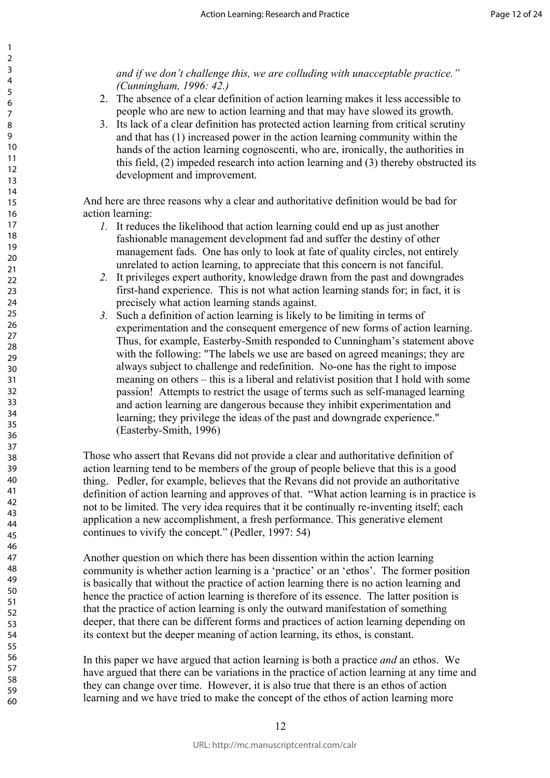*and if we don't challenge this, we are colluding with unacceptable practice." (Cunningham, 1996: 42.)* 

- 2. The absence of a clear definition of action learning makes it less accessible to people who are new to action learning and that may have slowed its growth.
- 3. Its lack of a clear definition has protected action learning from critical scrutiny and that has (1) increased power in the action learning community within the hands of the action learning cognoscenti, who are, ironically, the authorities in this field, (2) impeded research into action learning and (3) thereby obstructed its development and improvement.

And here are three reasons why a clear and authoritative definition would be bad for action learning:

- *1.* It reduces the likelihood that action learning could end up as just another fashionable management development fad and suffer the destiny of other management fads. One has only to look at fate of quality circles, not entirely unrelated to action learning, to appreciate that this concern is not fanciful.
- *2.* It privileges expert authority, knowledge drawn from the past and downgrades first-hand experience. This is not what action learning stands for; in fact, it is precisely what action learning stands against.
- is the likelihood that action learning could end up as juable management development fad and suffer the destiment fads. One has only to look at fate of quality circled to action learning, to appreciate that this concern is *3.* Such a definition of action learning is likely to be limiting in terms of experimentation and the consequent emergence of new forms of action learning. Thus, for example, Easterby-Smith responded to Cunningham's statement above with the following: "The labels we use are based on agreed meanings; they are always subject to challenge and redefinition. No-one has the right to impose meaning on others – this is a liberal and relativist position that I hold with some passion! Attempts to restrict the usage of terms such as self-managed learning and action learning are dangerous because they inhibit experimentation and learning; they privilege the ideas of the past and downgrade experience." (Easterby-Smith, 1996)

Those who assert that Revans did not provide a clear and authoritative definition of action learning tend to be members of the group of people believe that this is a good thing. Pedler, for example, believes that the Revans did not provide an authoritative definition of action learning and approves of that. "What action learning is in practice is not to be limited. The very idea requires that it be continually re-inventing itself; each application a new accomplishment, a fresh performance. This generative element continues to vivify the concept." (Pedler, 1997: 54)

Another question on which there has been dissention within the action learning community is whether action learning is a 'practice' or an 'ethos'. The former position is basically that without the practice of action learning there is no action learning and hence the practice of action learning is therefore of its essence. The latter position is that the practice of action learning is only the outward manifestation of something deeper, that there can be different forms and practices of action learning depending on its context but the deeper meaning of action learning, its ethos, is constant.

In this paper we have argued that action learning is both a practice *and* an ethos. We have argued that there can be variations in the practice of action learning at any time and they can change over time. However, it is also true that there is an ethos of action learning and we have tried to make the concept of the ethos of action learning more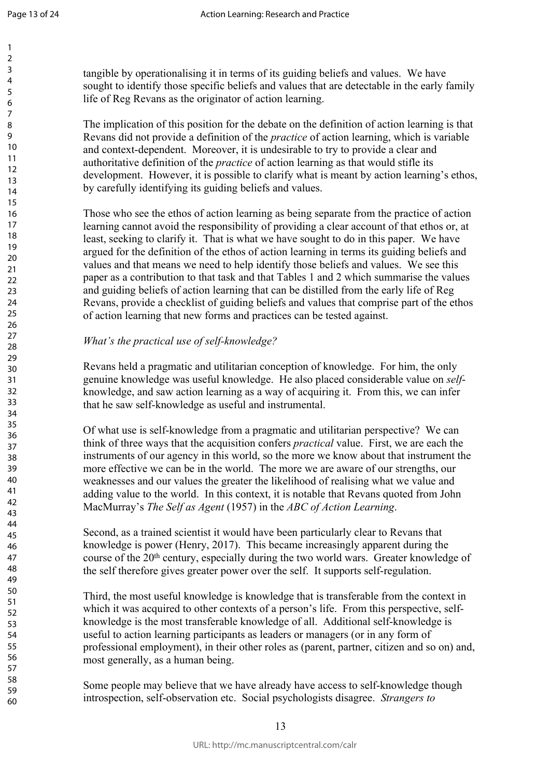$\mathbf{1}$  $\overline{2}$  $\overline{3}$  $\overline{4}$ 5 6  $\overline{7}$ 8  $\mathsf{o}$ 

tangible by operationalising it in terms of its guiding beliefs and values. We have sought to identify those specific beliefs and values that are detectable in the early family life of Reg Revans as the originator of action learning.

The implication of this position for the debate on the definition of action learning is that Revans did not provide a definition of the *practice* of action learning, which is variable and context-dependent. Moreover, it is undesirable to try to provide a clear and authoritative definition of the *practice* of action learning as that would stifle its development. However, it is possible to clarify what is meant by action learning's ethos, by carefully identifying its guiding beliefs and values.

are stated as useful and providing a clear account of a solid the responsibility of providing a clear account of o clarify it. That is what we have sought to do in this perfinition of the ethos of action learning in terms Those who see the ethos of action learning as being separate from the practice of action learning cannot avoid the responsibility of providing a clear account of that ethos or, at least, seeking to clarify it. That is what we have sought to do in this paper. We have argued for the definition of the ethos of action learning in terms its guiding beliefs and values and that means we need to help identify those beliefs and values. We see this paper as a contribution to that task and that Tables 1 and 2 which summarise the values and guiding beliefs of action learning that can be distilled from the early life of Reg Revans, provide a checklist of guiding beliefs and values that comprise part of the ethos of action learning that new forms and practices can be tested against.

## *What's the practical use of self-knowledge?*

Revans held a pragmatic and utilitarian conception of knowledge. For him, the only genuine knowledge was useful knowledge. He also placed considerable value on *self*knowledge, and saw action learning as a way of acquiring it. From this, we can infer that he saw self-knowledge as useful and instrumental.

Of what use is self-knowledge from a pragmatic and utilitarian perspective? We can think of three ways that the acquisition confers *practical* value. First, we are each the instruments of our agency in this world, so the more we know about that instrument the more effective we can be in the world. The more we are aware of our strengths, our weaknesses and our values the greater the likelihood of realising what we value and adding value to the world. In this context, it is notable that Revans quoted from John MacMurray's *The Self as Agent* (1957) in the *ABC of Action Learning* .

Second, as a trained scientist it would have been particularly clear to Revans that knowledge is power (Henry, 2017). This became increasingly apparent during the course of the 20th century, especially during the two world wars. Greater knowledge of the self therefore gives greater power over the self. It supports self-regulation.

Third, the most useful knowledge is knowledge that is transferable from the context in which it was acquired to other contexts of a person's life. From this perspective, selfknowledge is the most transferable knowledge of all. Additional self-knowledge is useful to action learning participants as leaders or managers (or in any form of professional employment), in their other roles as (parent, partner, citizen and so on) and, most generally, as a human being.

Some people may believe that we have already have access to self-knowledge though introspection, self-observation etc. Social psychologists disagree. *Strangers to*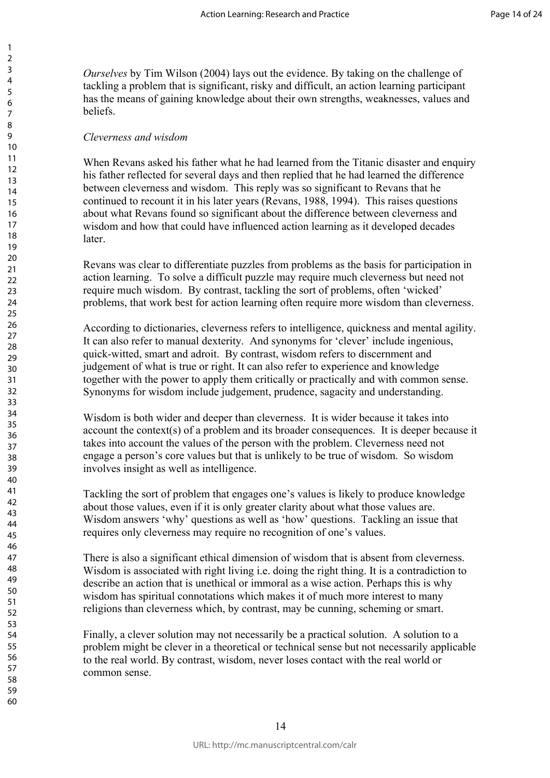*Ourselves* by Tim Wilson (2004) lays out the evidence. By taking on the challenge of tackling a problem that is significant, risky and difficult, an action learning participant has the means of gaining knowledge about their own strengths, weaknesses, values and beliefs.

#### *Cleverness and wisdom*

When Revans asked his father what he had learned from the Titanic disaster and enquiry his father reflected for several days and then replied that he had learned the difference between cleverness and wisdom. This reply was so significant to Revans that he continued to recount it in his later years (Revans, 1988, 1994). This raises questions about what Revans found so significant about the difference between cleverness and wisdom and how that could have influenced action learning as it developed decades **later** 

Revans was clear to differentiate puzzles from problems as the basis for participation in action learning. To solve a difficult puzzle may require much cleverness but need not require much wisdom. By contrast, tackling the sort of problems, often 'wicked' problems, that work best for action learning often require more wisdom than cleverness.

The state of the published and solid and solid and solid and solid have influenced action learning as it devel<br>and to differentiate puzzles from problems as the basis for To solve a difficult puzzle may require much elever According to dictionaries, cleverness refers to intelligence, quickness and mental agility. It can also refer to manual dexterity. And synonyms for 'clever' include ingenious, quick-witted, smart and adroit. By contrast, wisdom refers to discernment and judgement of what is true or right. It can also refer to experience and knowledge together with the power to apply them critically or practically and with common sense. Synonyms for wisdom include judgement, prudence, sagacity and understanding.

Wisdom is both wider and deeper than cleverness. It is wider because it takes into account the context(s) of a problem and its broader consequences. It is deeper because it takes into account the values of the person with the problem. Cleverness need not engage a person's core values but that is unlikely to be true of wisdom. So wisdom involves insight as well as intelligence.

Tackling the sort of problem that engages one's values is likely to produce knowledge about those values, even if it is only greater clarity about what those values are. Wisdom answers 'why' questions as well as 'how' questions. Tackling an issue that requires only cleverness may require no recognition of one's values.

There is also a significant ethical dimension of wisdom that is absent from cleverness. Wisdom is associated with right living i.e. doing the right thing. It is a contradiction to describe an action that is unethical or immoral as a wise action. Perhaps this is why wisdom has spiritual connotations which makes it of much more interest to many religions than cleverness which, by contrast, may be cunning, scheming or smart.

Finally, a clever solution may not necessarily be a practical solution. A solution to a problem might be clever in a theoretical or technical sense but not necessarily applicable to the real world. By contrast, wisdom, never loses contact with the real world or common sense.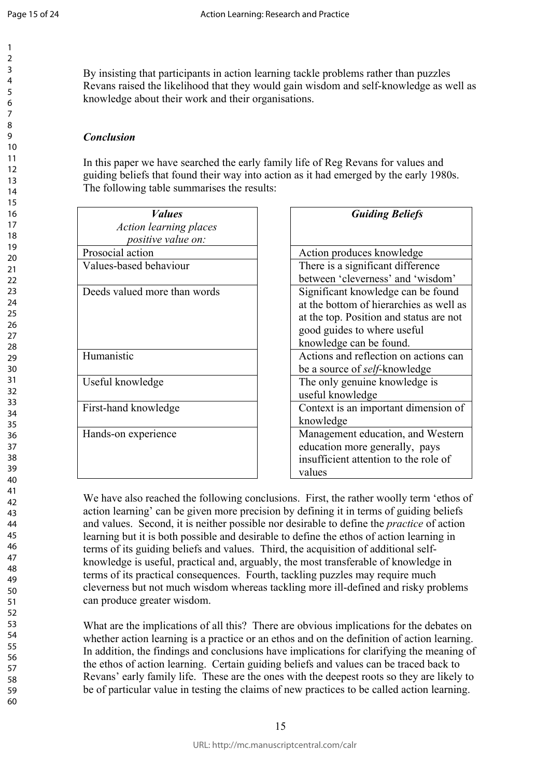$\mathbf{1}$  $\overline{2}$  $\overline{3}$  $\overline{4}$ 5 6  $\overline{7}$ 8  $\mathsf q$ 

By insisting that participants in action learning tackle problems rather than puzzles Revans raised the likelihood that they would gain wisdom and self-knowledge as well as knowledge about their work and their organisations.

## *Conclusion*

In this paper we have searched the early family life of Reg Revans for values and guiding beliefs that found their way into action as it had emerged by the early 1980s. The following table summarises the results:

| <b>Guiding Beliefs</b>                  |
|-----------------------------------------|
|                                         |
|                                         |
| Action produces knowledge               |
| There is a significant difference       |
| between 'cleverness' and 'wisdom'       |
| Significant knowledge can be found      |
| at the bottom of hierarchies as well as |
| at the top. Position and status are not |
| good guides to where useful             |
| knowledge can be found.                 |
| Actions and reflection on actions can   |
| be a source of <i>self</i> -knowledge   |
| The only genuine knowledge is           |
| useful knowledge                        |
| Context is an important dimension of    |
| knowledge                               |
| Management education, and Western       |
| education more generally, pays          |
| insufficient attention to the role of   |
| values                                  |
|                                         |

| <b>Guiding Beliefs</b>                  |
|-----------------------------------------|
|                                         |
| Action produces knowledge               |
| There is a significant difference       |
| between 'cleverness' and 'wisdom'       |
| Significant knowledge can be found      |
| at the bottom of hierarchies as well as |
| at the top. Position and status are not |
| good guides to where useful             |
| knowledge can be found.                 |
| Actions and reflection on actions can   |
| be a source of <i>self</i> -knowledge   |
| The only genuine knowledge is           |
| useful knowledge                        |
| Context is an important dimension of    |
| knowledge                               |
| Management education, and Western       |
| education more generally, pays          |
| insufficient attention to the role of   |
| values                                  |

We have also reached the following conclusions. First, the rather woolly term 'ethos of action learning' can be given more precision by defining it in terms of guiding beliefs and values. Second, it is neither possible nor desirable to define the *practice* of action learning but it is both possible and desirable to define the ethos of action learning in terms of its guiding beliefs and values. Third, the acquisition of additional selfknowledge is useful, practical and, arguably, the most transferable of knowledge in terms of its practical consequences. Fourth, tackling puzzles may require much cleverness but not much wisdom whereas tackling more ill-defined and risky problems can produce greater wisdom.

What are the implications of all this? There are obvious implications for the debates on whether action learning is a practice or an ethos and on the definition of action learning. In addition, the findings and conclusions have implications for clarifying the meaning of the ethos of action learning. Certain guiding beliefs and values can be traced back to Revans' early family life. These are the ones with the deepest roots so they are likely to be of particular value in testing the claims of new practices to be called action learning.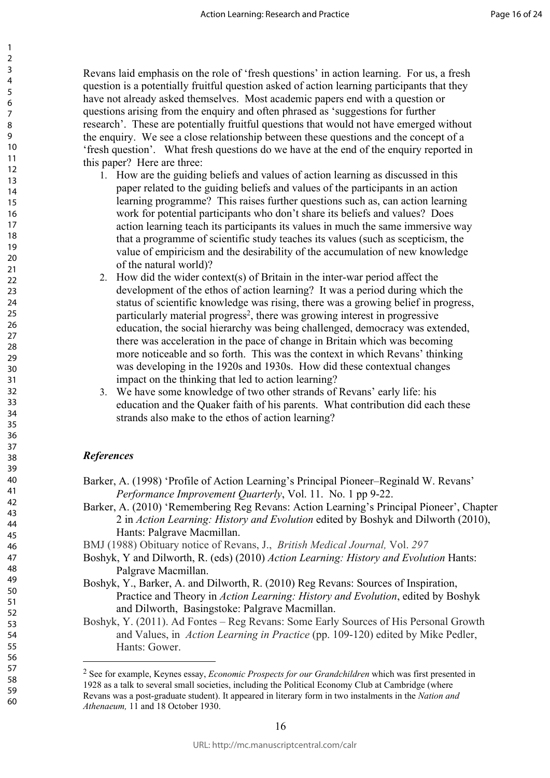Revans laid emphasis on the role of 'fresh questions' in action learning. For us, a fresh question is a potentially fruitful question asked of action learning participants that they have not already asked themselves. Most academic papers end with a question or questions arising from the enquiry and often phrased as 'suggestions for further research'. These are potentially fruitful questions that would not have emerged without the enquiry. We see a close relationship between these questions and the concept of a 'fresh question'. What fresh questions do we have at the end of the enquiry reported in this paper? Here are three:

- 1. How are the guiding beliefs and values of action learning as discussed in this paper related to the guiding beliefs and values of the participants in an action learning programme? This raises further questions such as, can action learning work for potential participants who don't share its beliefs and values? Does action learning teach its participants its values in much the same immersive way that a programme of scientific study teaches its values (such as scepticism, the value of empiricism and the desirability of the accumulation of new knowledge of the natural world)?
- potential particulars with doint is and to solve the saming teach its participants its values in much the saming teach its participants its values in much the saming regramme of scientific study teaches its values (such a 2. How did the wider context(s) of Britain in the inter-war period affect the development of the ethos of action learning? It was a period during which the status of scientific knowledge was rising, there was a growing belief in progress, particularly material progress 2 , there was growing interest in progressive education, the social hierarchy was being challenged, democracy was extended, there was acceleration in the pace of change in Britain which was becoming more noticeable and so forth. This was the context in which Revans' thinking was developing in the 1920s and 1930s. How did these contextual changes impact on the thinking that led to action learning?
- 3. We have some knowledge of two other strands of Revans' early life: his education and the Quaker faith of his parents. What contribution did each these strands also make to the ethos of action learning?

#### *References*

- Barker, A. (1998) 'Profile of Action Learning's Principal Pioneer–Reginald W. Revans' *Performance Improvement Quarterly*, Vol. 11. No. 1 pp 9-22.
- Barker, A. (2010) 'Remembering Reg Revans: Action Learning's Principal Pioneer', Chapter 2 in *Action Learning: History and Evolution* edited by Boshyk and Dilworth (2010), Hants: Palgrave Macmillan.
- BMJ (1988) Obituary notice of Revans, J., *British Medical Journal,* Vol. *297*
- Boshyk, Y and Dilworth, R. (eds) (2010) *Action Learning: History and Evolution* Hants: Palgrave Macmillan.
- Boshyk, Y., Barker, A. and Dilworth, R. (2010) Reg Revans: Sources of Inspiration, Practice and Theory in *Action Learning: History and Evolution*, edited by Boshyk and Dilworth, Basingstoke: Palgrave Macmillan.
- Boshyk, Y. (2011). Ad Fontes Reg Revans: Some Early Sources of His Personal Growth and Values, in *Action Learning in Practice* (pp. 109-120) edited by Mike Pedler, Hants: Gower.

<sup>2</sup> See for example, Keynes essay, *Economic Prospects for our Grandchildren* which was first presented in 1928 as a talk to several small societies, including the Political Economy Club at Cambridge (where Revans was a post-graduate student). It appeared in literary form in two instalments in the *Nation and Athenaeum,* 11 and 18 October 1930.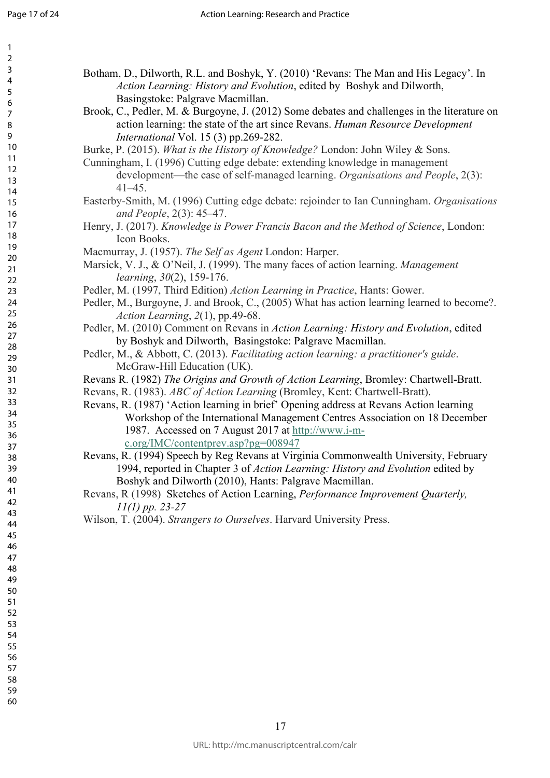| 1<br>2<br>3<br>4<br>5<br>6<br>8<br>9<br>10<br>11<br>$\overline{12}$<br>13<br>14<br>15<br>16<br>17<br>18<br>19<br>20                                             |  |
|-----------------------------------------------------------------------------------------------------------------------------------------------------------------|--|
| 21<br>$\overline{2}$<br>23<br>24<br>25<br>26<br>27<br>28<br>29<br>30<br>31<br>$\overline{32}$<br>33<br>34<br>35<br>$\frac{36}{5}$<br>37<br>ξŔ<br>39<br>40<br>41 |  |
| 42<br>43<br>44<br>45<br>46<br>47<br>48<br>49<br>50<br>51<br>52<br>53<br>54<br>55<br>56<br>57<br>58                                                              |  |

Botham, D., Dilworth, R.L. and Boshyk, Y. (2010) 'Revans: The Man and His Legacy'. In *Action Learning: History and Evolution*, edited by Boshyk and Dilworth, Basingstoke: Palgrave Macmillan.

- Brook, C., Pedler, M. & Burgoyne, J. (2012) Some debates and challenges in the literature on action learning: the state of the art since Revans. *Human Resource Development International* Vol. 15 (3) pp.269-282.
- Burke, P. (2015). *What is the History of Knowledge?* London: John Wiley & Sons.
- Cunningham, I. (1996) Cutting edge debate: extending knowledge in management development—the case of self-managed learning. *Organisations and People*, 2(3): 41–45.
- Easterby-Smith, M. (1996) Cutting edge debate: rejoinder to Ian Cunningham. *Organisations and People*, 2(3): 45–47.
- Henry, J. (2017). *Knowledge is Power Francis Bacon and the Method of Science*, London: Icon Books.
- Macmurray, J. (1957). *The Self as Agent* London: Harper.
- Marsick, V. J., & O'Neil, J. (1999). The many faces of action learning. *Management learning*, *30*(2), 159-176.
- Pedler, M. (1997, Third Edition) *Action Learning in Practice*, Hants: Gower.
- Pedler, M., Burgoyne, J. and Brook, C., (2005) What has action learning learned to become?. *Action Learning*, *2*(1), pp.49-68.
- Pedler, M. (2010) Comment on Revans in *Action Learning: History and Evolution*, edited by Boshyk and Dilworth, Basingstoke: Palgrave Macmillan.
- Pedler, M., & Abbott, C. (2013). *Facilitating action learning: a practitioner's guide*. McGraw-Hill Education (UK).
- Revans R. (1982) *The Origins and Growth of Action Learning*, Bromley: Chartwell-Bratt.
- Revans, R. (1983). *ABC of Action Learning* (Bromley, Kent: Chartwell-Bratt).
- For Eq. (1). The *Self as Agent London:* Harper,  $P_0$ . Knowledge is *Power Francis Bacon and the Method*<br>obs.<br>(1957). *The Self as Agent London: Harper.*<br>& O'Neil, J. (1999). The many faces of action learning<br> $g$ , 30(2), Revans, R. (1987) 'Action learning in brief' Opening address at Revans Action learning Workshop of the International Management Centres Association on 18 December 1987. Accessed on 7 August 2017 at http://www.i-m[c.org/IMC/contentprev.asp?pg=008947](http://www.i-m-c.org/IMC/contentprev.asp?pg=008947)
- Revans, R. (1994) Speech by Reg Revans at Virginia Commonwealth University, February 1994, reported in Chapter 3 of *Action Learning: History and Evolution* edited by Boshyk and Dilworth (2010), Hants: Palgrave Macmillan.
- Revans, R (1998) Sketches of Action Learning, *Performance Improvement Quarterly, 11(1) pp. 23-27*
- Wilson, T. (2004). *Strangers to Ourselves*. Harvard University Press.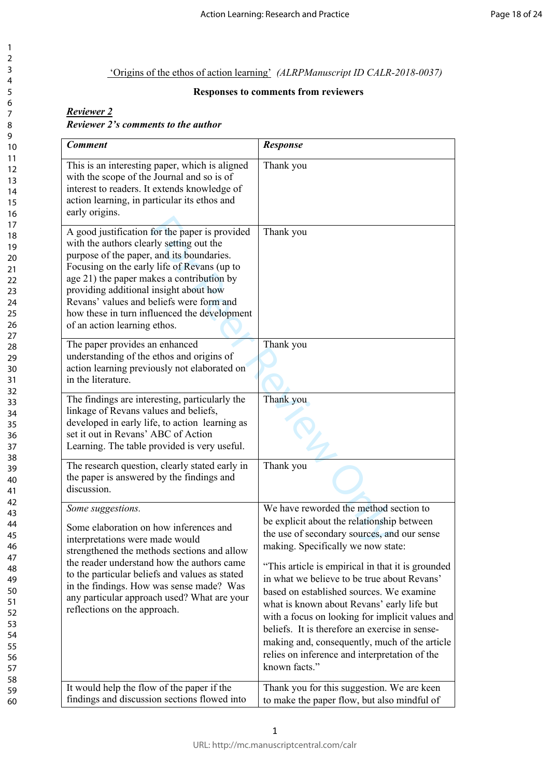#### 'Origins of the ethos of action learning' *(ALRPManuscript ID CALR-2018-0037)*

### **Responses to comments from reviewers**

#### *Reviewer 2 Reviewer 2's comments to the author*

| <b>Comment</b>                                                                                                                                                                                                                                                                                                                                                                                            | <b>Response</b>                                                                                                                                                                                                                                                                                                                                                                                                                                                                                                                                                                                 |
|-----------------------------------------------------------------------------------------------------------------------------------------------------------------------------------------------------------------------------------------------------------------------------------------------------------------------------------------------------------------------------------------------------------|-------------------------------------------------------------------------------------------------------------------------------------------------------------------------------------------------------------------------------------------------------------------------------------------------------------------------------------------------------------------------------------------------------------------------------------------------------------------------------------------------------------------------------------------------------------------------------------------------|
| This is an interesting paper, which is aligned<br>with the scope of the Journal and so is of<br>interest to readers. It extends knowledge of<br>action learning, in particular its ethos and<br>early origins.                                                                                                                                                                                            | Thank you                                                                                                                                                                                                                                                                                                                                                                                                                                                                                                                                                                                       |
| A good justification for the paper is provided<br>with the authors clearly setting out the<br>purpose of the paper, and its boundaries.<br>Focusing on the early life of Revans (up to<br>age 21) the paper makes a contribution by<br>providing additional insight about how<br>Revans' values and beliefs were form and<br>how these in turn influenced the development<br>of an action learning ethos. | Thank you                                                                                                                                                                                                                                                                                                                                                                                                                                                                                                                                                                                       |
| The paper provides an enhanced<br>understanding of the ethos and origins of<br>action learning previously not elaborated on<br>in the literature.                                                                                                                                                                                                                                                         | Thank you                                                                                                                                                                                                                                                                                                                                                                                                                                                                                                                                                                                       |
| The findings are interesting, particularly the<br>linkage of Revans values and beliefs,<br>developed in early life, to action learning as<br>set it out in Revans' ABC of Action<br>Learning. The table provided is very useful.                                                                                                                                                                          | Thank you                                                                                                                                                                                                                                                                                                                                                                                                                                                                                                                                                                                       |
| The research question, clearly stated early in<br>the paper is answered by the findings and<br>discussion.                                                                                                                                                                                                                                                                                                | Thank you                                                                                                                                                                                                                                                                                                                                                                                                                                                                                                                                                                                       |
| Some suggestions.<br>Some elaboration on how inferences and<br>interpretations were made would<br>strengthened the methods sections and allow<br>the reader understand how the authors came<br>to the particular beliefs and values as stated<br>in the findings. How was sense made? Was<br>any particular approach used? What are your<br>reflections on the approach.                                  | We have reworded the method section to<br>be explicit about the relationship between<br>the use of secondary sources, and our sense<br>making. Specifically we now state:<br>"This article is empirical in that it is grounded<br>in what we believe to be true about Revans'<br>based on established sources. We examine<br>what is known about Revans' early life but<br>with a focus on looking for implicit values and<br>beliefs. It is therefore an exercise in sense-<br>making and, consequently, much of the article<br>relies on inference and interpretation of the<br>known facts." |
| It would help the flow of the paper if the<br>findings and discussion sections flowed into                                                                                                                                                                                                                                                                                                                | Thank you for this suggestion. We are keen<br>to make the paper flow, but also mindful of                                                                                                                                                                                                                                                                                                                                                                                                                                                                                                       |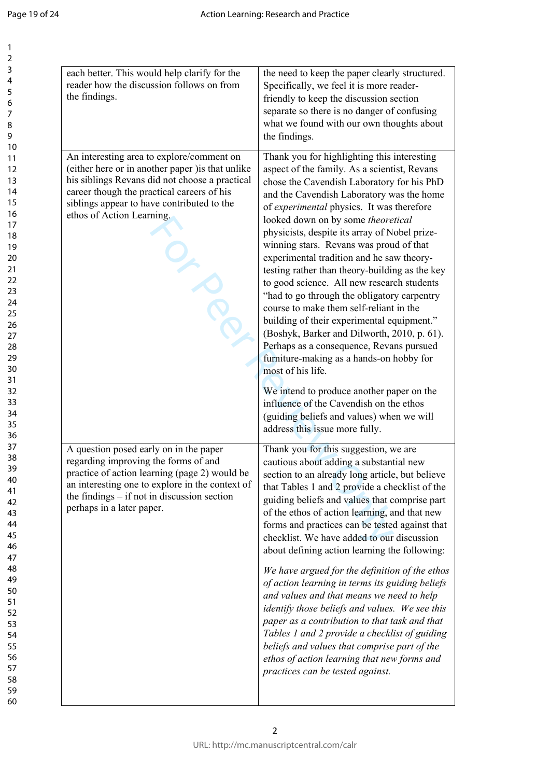| each better. This would help clarify for the<br>reader how the discussion follows on from<br>the findings.                                                                                                                                                               | the need to keep the paper clearly structured.<br>Specifically, we feel it is more reader-<br>friendly to keep the discussion section<br>separate so there is no danger of confusing<br>what we found with our own thoughts about<br>the findings.                                                                                                                                                                                                                                                                                                                                                                                                                                                                                                                                                                     |
|--------------------------------------------------------------------------------------------------------------------------------------------------------------------------------------------------------------------------------------------------------------------------|------------------------------------------------------------------------------------------------------------------------------------------------------------------------------------------------------------------------------------------------------------------------------------------------------------------------------------------------------------------------------------------------------------------------------------------------------------------------------------------------------------------------------------------------------------------------------------------------------------------------------------------------------------------------------------------------------------------------------------------------------------------------------------------------------------------------|
| An interesting area to explore/comment on<br>(either here or in another paper) is that unlike<br>his siblings Revans did not choose a practical<br>career though the practical careers of his<br>siblings appear to have contributed to the<br>ethos of Action Learning. | Thank you for highlighting this interesting<br>aspect of the family. As a scientist, Revans<br>chose the Cavendish Laboratory for his PhD<br>and the Cavendish Laboratory was the home<br>of experimental physics. It was therefore<br>looked down on by some theoretical<br>physicists, despite its array of Nobel prize-<br>winning stars. Revans was proud of that<br>experimental tradition and he saw theory-<br>testing rather than theory-building as the key<br>to good science. All new research students<br>"had to go through the obligatory carpentry<br>course to make them self-reliant in the<br>building of their experimental equipment."<br>(Boshyk, Barker and Dilworth, 2010, p. 61).<br>Perhaps as a consequence, Revans pursued<br>furniture-making as a hands-on hobby for<br>most of his life. |
|                                                                                                                                                                                                                                                                          | We intend to produce another paper on the<br>influence of the Cavendish on the ethos<br>(guiding beliefs and values) when we will<br>address this issue more fully.                                                                                                                                                                                                                                                                                                                                                                                                                                                                                                                                                                                                                                                    |
| A question posed early on in the paper<br>regarding improving the forms of and<br>practice of action learning (page 2) would be<br>an interesting one to explore in the context of<br>the findings $-$ if not in discussion section<br>perhaps in a later paper.         | Thank you for this suggestion, we are<br>cautious about adding a substantial new<br>section to an already long article, but believe<br>that Tables 1 and 2 provide a checklist of the<br>guiding beliefs and values that comprise part<br>of the ethos of action learning, and that new<br>forms and practices can be tested against that<br>checklist. We have added to our discussion<br>about defining action learning the following:                                                                                                                                                                                                                                                                                                                                                                               |
|                                                                                                                                                                                                                                                                          | We have argued for the definition of the ethos<br>of action learning in terms its guiding beliefs<br>and values and that means we need to help<br>identify those beliefs and values. We see this<br>paper as a contribution to that task and that<br>Tables 1 and 2 provide a checklist of guiding<br>beliefs and values that comprise part of the<br>ethos of action learning that new forms and<br>practices can be tested against.                                                                                                                                                                                                                                                                                                                                                                                  |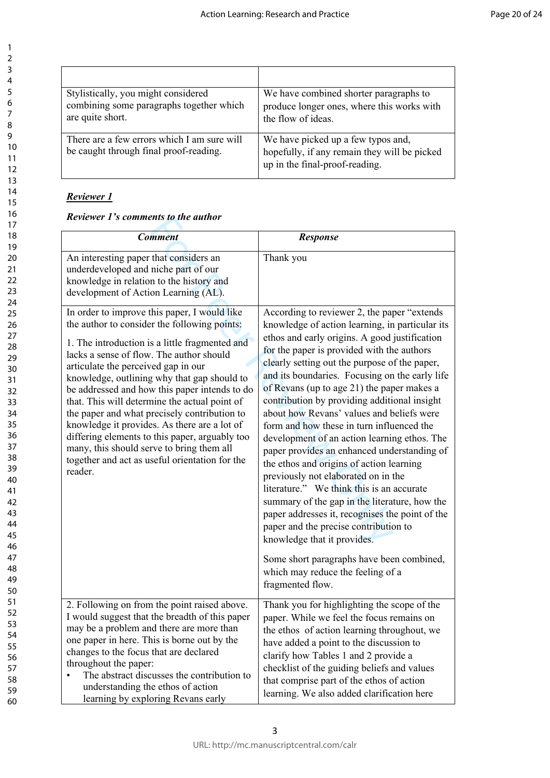| Stylistically, you might considered                                                   | We have combined shorter paragraphs to                                                                               |
|---------------------------------------------------------------------------------------|----------------------------------------------------------------------------------------------------------------------|
| combining some paragraphs together which                                              | produce longer ones, where this works with                                                                           |
| are quite short.                                                                      | the flow of ideas.                                                                                                   |
| There are a few errors which I am sure will<br>be caught through final proof-reading. | We have picked up a few typos and,<br>hopefully, if any remain they will be picked<br>up in the final-proof-reading. |

## *Reviewer 1*

*Reviewer 1's comments to the author*

| <b>Comment</b>                                                                                                                                                                                                                                                                                                                                                                                                                                                                                                                                                                                                                                 | <b>Response</b>                                                                                                                                                                                                                                                                                                                                                                                                                                                                                                                                                                                                                                                                                                                                                                                                                                                                                                                                                                                            |
|------------------------------------------------------------------------------------------------------------------------------------------------------------------------------------------------------------------------------------------------------------------------------------------------------------------------------------------------------------------------------------------------------------------------------------------------------------------------------------------------------------------------------------------------------------------------------------------------------------------------------------------------|------------------------------------------------------------------------------------------------------------------------------------------------------------------------------------------------------------------------------------------------------------------------------------------------------------------------------------------------------------------------------------------------------------------------------------------------------------------------------------------------------------------------------------------------------------------------------------------------------------------------------------------------------------------------------------------------------------------------------------------------------------------------------------------------------------------------------------------------------------------------------------------------------------------------------------------------------------------------------------------------------------|
| An interesting paper that considers an<br>underdeveloped and niche part of our<br>knowledge in relation to the history and<br>development of Action Learning (AL).                                                                                                                                                                                                                                                                                                                                                                                                                                                                             | Thank you                                                                                                                                                                                                                                                                                                                                                                                                                                                                                                                                                                                                                                                                                                                                                                                                                                                                                                                                                                                                  |
| In order to improve this paper, I would like<br>the author to consider the following points:<br>1. The introduction is a little fragmented and<br>lacks a sense of flow. The author should<br>articulate the perceived gap in our<br>knowledge, outlining why that gap should to<br>be addressed and how this paper intends to do<br>that. This will determine the actual point of<br>the paper and what precisely contribution to<br>knowledge it provides. As there are a lot of<br>differing elements to this paper, arguably too<br>many, this should serve to bring them all<br>together and act as useful orientation for the<br>reader. | According to reviewer 2, the paper "extends"<br>knowledge of action learning, in particular its<br>ethos and early origins. A good justification<br>for the paper is provided with the authors<br>clearly setting out the purpose of the paper,<br>and its boundaries. Focusing on the early life<br>of Revans (up to age 21) the paper makes a<br>contribution by providing additional insight<br>about how Revans' values and beliefs were<br>form and how these in turn influenced the<br>development of an action learning ethos. The<br>paper provides an enhanced understanding of<br>the ethos and origins of action learning<br>previously not elaborated on in the<br>literature." We think this is an accurate<br>summary of the gap in the literature, how the<br>paper addresses it, recognises the point of the<br>paper and the precise contribution to<br>knowledge that it provides.<br>Some short paragraphs have been combined,<br>which may reduce the feeling of a<br>fragmented flow. |
| 2. Following on from the point raised above.<br>I would suggest that the breadth of this paper<br>may be a problem and there are more than<br>one paper in here. This is borne out by the<br>changes to the focus that are declared<br>throughout the paper:<br>The abstract discusses the contribution to<br>$\bullet$<br>understanding the ethos of action<br>learning by exploring Revans early                                                                                                                                                                                                                                             | Thank you for highlighting the scope of the<br>paper. While we feel the focus remains on<br>the ethos of action learning throughout, we<br>have added a point to the discussion to<br>clarify how Tables 1 and 2 provide a<br>checklist of the guiding beliefs and values<br>that comprise part of the ethos of action<br>learning. We also added clarification here                                                                                                                                                                                                                                                                                                                                                                                                                                                                                                                                                                                                                                       |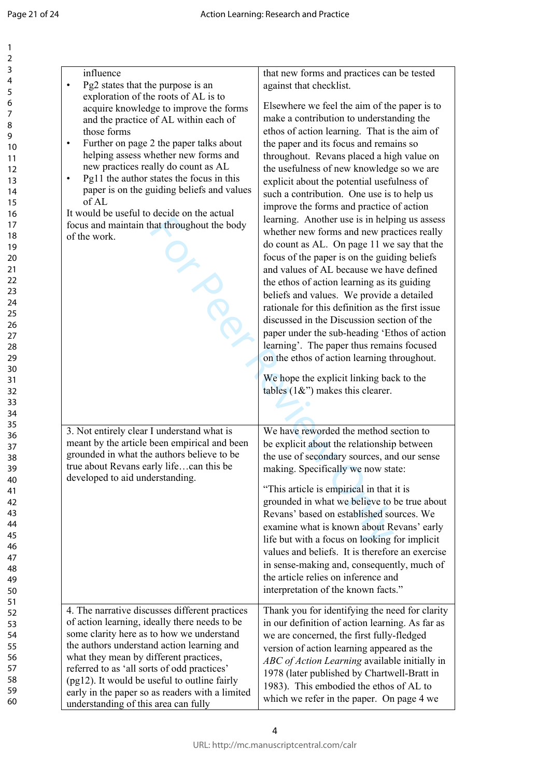| influence<br>Pg2 states that the purpose is an<br>$\bullet$<br>exploration of the roots of AL is to                                                                                                                                                                                                                                                                                                                                                                | that new forms and practices can be tested<br>against that checklist.                                                                                                                                                                                                                                                                                                                                                                                                                                                                                                                                                                                                                                                                                                                                                                                                                                                                                                                                   |
|--------------------------------------------------------------------------------------------------------------------------------------------------------------------------------------------------------------------------------------------------------------------------------------------------------------------------------------------------------------------------------------------------------------------------------------------------------------------|---------------------------------------------------------------------------------------------------------------------------------------------------------------------------------------------------------------------------------------------------------------------------------------------------------------------------------------------------------------------------------------------------------------------------------------------------------------------------------------------------------------------------------------------------------------------------------------------------------------------------------------------------------------------------------------------------------------------------------------------------------------------------------------------------------------------------------------------------------------------------------------------------------------------------------------------------------------------------------------------------------|
| acquire knowledge to improve the forms<br>and the practice of AL within each of<br>those forms<br>Further on page 2 the paper talks about<br>$\bullet$<br>helping assess whether new forms and<br>new practices really do count as AL<br>Pg11 the author states the focus in this<br>$\bullet$<br>paper is on the guiding beliefs and values<br>of AL<br>It would be useful to decide on the actual<br>focus and maintain that throughout the body<br>of the work. | Elsewhere we feel the aim of the paper is to<br>make a contribution to understanding the<br>ethos of action learning. That is the aim of<br>the paper and its focus and remains so<br>throughout. Revans placed a high value on<br>the usefulness of new knowledge so we are<br>explicit about the potential usefulness of<br>such a contribution. One use is to help us<br>improve the forms and practice of action<br>learning. Another use is in helping us assess<br>whether new forms and new practices really<br>do count as AL. On page 11 we say that the<br>focus of the paper is on the guiding beliefs<br>and values of AL because we have defined<br>the ethos of action learning as its guiding<br>beliefs and values. We provide a detailed<br>rationale for this definition as the first issue<br>discussed in the Discussion section of the<br>paper under the sub-heading 'Ethos of action<br>learning'. The paper thus remains focused<br>on the ethos of action learning throughout. |
| 3. Not entirely clear I understand what is<br>meant by the article been empirical and been                                                                                                                                                                                                                                                                                                                                                                         | We hope the explicit linking back to the<br>tables $(1\&)$ makes this clearer.<br>We have reworded the method section to<br>be explicit about the relationship between                                                                                                                                                                                                                                                                                                                                                                                                                                                                                                                                                                                                                                                                                                                                                                                                                                  |
| grounded in what the authors believe to be<br>true about Revans early lifecan this be<br>developed to aid understanding.                                                                                                                                                                                                                                                                                                                                           | the use of secondary sources, and our sense<br>making. Specifically we now state:<br>"This article is empirical in that it is<br>grounded in what we believe to be true about<br>Revans' based on established sources. We<br>examine what is known about Revans' early<br>life but with a focus on looking for implicit<br>values and beliefs. It is therefore an exercise<br>in sense-making and, consequently, much of<br>the article relies on inference and<br>interpretation of the known facts."                                                                                                                                                                                                                                                                                                                                                                                                                                                                                                  |
| 4. The narrative discusses different practices<br>of action learning, ideally there needs to be<br>some clarity here as to how we understand<br>the authors understand action learning and<br>what they mean by different practices,<br>referred to as 'all sorts of odd practices'<br>(pg12). It would be useful to outline fairly<br>early in the paper so as readers with a limited<br>understanding of this area can fully                                     | Thank you for identifying the need for clarity<br>in our definition of action learning. As far as<br>we are concerned, the first fully-fledged<br>version of action learning appeared as the<br>ABC of Action Learning available initially in<br>1978 (later published by Chartwell-Bratt in<br>1983). This embodied the ethos of AL to<br>which we refer in the paper. On page 4 we                                                                                                                                                                                                                                                                                                                                                                                                                                                                                                                                                                                                                    |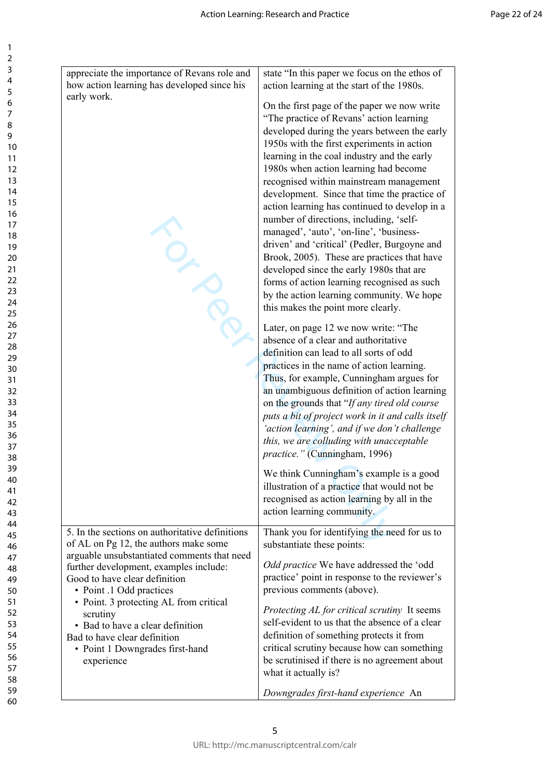| appreciate the importance of Revans role and<br>how action learning has developed since his                                                                             | state "In this paper we focus on the ethos of<br>action learning at the start of the 1980s.                                                                                                                                                                                                                                                                                                                                                                                                                                                                                                                                                                                                                                                                                                  |
|-------------------------------------------------------------------------------------------------------------------------------------------------------------------------|----------------------------------------------------------------------------------------------------------------------------------------------------------------------------------------------------------------------------------------------------------------------------------------------------------------------------------------------------------------------------------------------------------------------------------------------------------------------------------------------------------------------------------------------------------------------------------------------------------------------------------------------------------------------------------------------------------------------------------------------------------------------------------------------|
| early work.                                                                                                                                                             | On the first page of the paper we now write<br>"The practice of Revans' action learning<br>developed during the years between the early<br>1950s with the first experiments in action<br>learning in the coal industry and the early<br>1980s when action learning had become<br>recognised within mainstream management<br>development. Since that time the practice of<br>action learning has continued to develop in a<br>number of directions, including, 'self-<br>managed', 'auto', 'on-line', 'business-<br>driven' and 'critical' (Pedler, Burgoyne and<br>Brook, 2005). These are practices that have<br>developed since the early 1980s that are<br>forms of action learning recognised as such<br>by the action learning community. We hope<br>this makes the point more clearly. |
|                                                                                                                                                                         | Later, on page 12 we now write: "The<br>absence of a clear and authoritative<br>definition can lead to all sorts of odd<br>practices in the name of action learning.<br>Thus, for example, Cunningham argues for<br>an unambiguous definition of action learning<br>on the grounds that "If any tired old course<br>puts a bit of project work in it and calls itself<br>'action learning', and if we don't challenge<br>this, we are colluding with unacceptable<br>practice." (Cunningham, 1996)                                                                                                                                                                                                                                                                                           |
|                                                                                                                                                                         | We think Cunningham's example is a good<br>illustration of a practice that would not be<br>recognised as action learning by all in the<br>action learning community.                                                                                                                                                                                                                                                                                                                                                                                                                                                                                                                                                                                                                         |
| 5. In the sections on authoritative definitions<br>of AL on Pg 12, the authors make some                                                                                | Thank you for identifying the need for us to<br>substantiate these points:                                                                                                                                                                                                                                                                                                                                                                                                                                                                                                                                                                                                                                                                                                                   |
| arguable unsubstantiated comments that need<br>further development, examples include:<br>Good to have clear definition<br>• Point .1 Odd practices                      | <i>Odd practice</i> We have addressed the 'odd<br>practice' point in response to the reviewer's<br>previous comments (above).                                                                                                                                                                                                                                                                                                                                                                                                                                                                                                                                                                                                                                                                |
| • Point. 3 protecting AL from critical<br>scrutiny<br>• Bad to have a clear definition<br>Bad to have clear definition<br>• Point 1 Downgrades first-hand<br>experience | Protecting AL for critical scrutiny It seems<br>self-evident to us that the absence of a clear<br>definition of something protects it from<br>critical scrutiny because how can something<br>be scrutinised if there is no agreement about<br>what it actually is?                                                                                                                                                                                                                                                                                                                                                                                                                                                                                                                           |
|                                                                                                                                                                         | Downgrades first-hand experience An                                                                                                                                                                                                                                                                                                                                                                                                                                                                                                                                                                                                                                                                                                                                                          |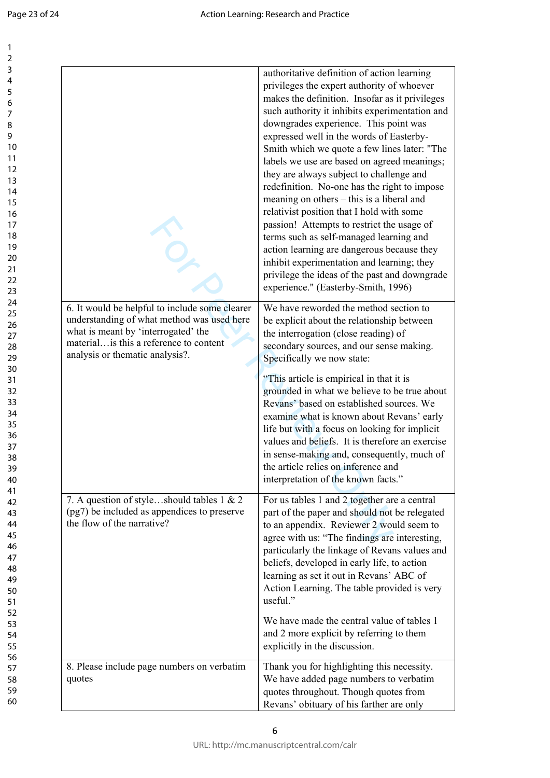$\mathbf{1}$  $\overline{2}$  $\overline{3}$  $\overline{4}$ 5 6  $\overline{7}$ 8  $\overline{9}$ 

|                                                                                                                                                                                                                   | authoritative definition of action learning<br>privileges the expert authority of whoever<br>makes the definition. Insofar as it privileges<br>such authority it inhibits experimentation and<br>downgrades experience. This point was<br>expressed well in the words of Easterby-<br>Smith which we quote a few lines later: "The<br>labels we use are based on agreed meanings;<br>they are always subject to challenge and<br>redefinition. No-one has the right to impose<br>meaning on others – this is a liberal and<br>relativist position that I hold with some<br>passion! Attempts to restrict the usage of<br>terms such as self-managed learning and<br>action learning are dangerous because they<br>inhibit experimentation and learning; they<br>privilege the ideas of the past and downgrade<br>experience." (Easterby-Smith, 1996) |
|-------------------------------------------------------------------------------------------------------------------------------------------------------------------------------------------------------------------|------------------------------------------------------------------------------------------------------------------------------------------------------------------------------------------------------------------------------------------------------------------------------------------------------------------------------------------------------------------------------------------------------------------------------------------------------------------------------------------------------------------------------------------------------------------------------------------------------------------------------------------------------------------------------------------------------------------------------------------------------------------------------------------------------------------------------------------------------|
| 6. It would be helpful to include some clearer<br>understanding of what method was used here<br>what is meant by 'interrogated' the<br>material is this a reference to content<br>analysis or thematic analysis?. | We have reworded the method section to<br>be explicit about the relationship between<br>the interrogation (close reading) of<br>secondary sources, and our sense making.<br>Specifically we now state:                                                                                                                                                                                                                                                                                                                                                                                                                                                                                                                                                                                                                                               |
|                                                                                                                                                                                                                   | "This article is empirical in that it is<br>grounded in what we believe to be true about<br>Revans' based on established sources. We<br>examine what is known about Revans' early<br>life but with a focus on looking for implicit<br>values and beliefs. It is therefore an exercise<br>in sense-making and, consequently, much of<br>the article relies on inference and<br>interpretation of the known facts."                                                                                                                                                                                                                                                                                                                                                                                                                                    |
| 7. A question of styleshould tables 1 & 2<br>(pg7) be included as appendices to preserve<br>the flow of the narrative?                                                                                            | For us tables 1 and 2 together are a central<br>part of the paper and should not be relegated<br>to an appendix. Reviewer 2 would seem to<br>agree with us: "The findings are interesting,<br>particularly the linkage of Revans values and<br>beliefs, developed in early life, to action<br>learning as set it out in Revans' ABC of<br>Action Learning. The table provided is very<br>useful."                                                                                                                                                                                                                                                                                                                                                                                                                                                    |
|                                                                                                                                                                                                                   | We have made the central value of tables 1<br>and 2 more explicit by referring to them<br>explicitly in the discussion.                                                                                                                                                                                                                                                                                                                                                                                                                                                                                                                                                                                                                                                                                                                              |
| 8. Please include page numbers on verbatim<br>quotes                                                                                                                                                              | Thank you for highlighting this necessity.<br>We have added page numbers to verbatim<br>quotes throughout. Though quotes from<br>Revans' obituary of his farther are only                                                                                                                                                                                                                                                                                                                                                                                                                                                                                                                                                                                                                                                                            |